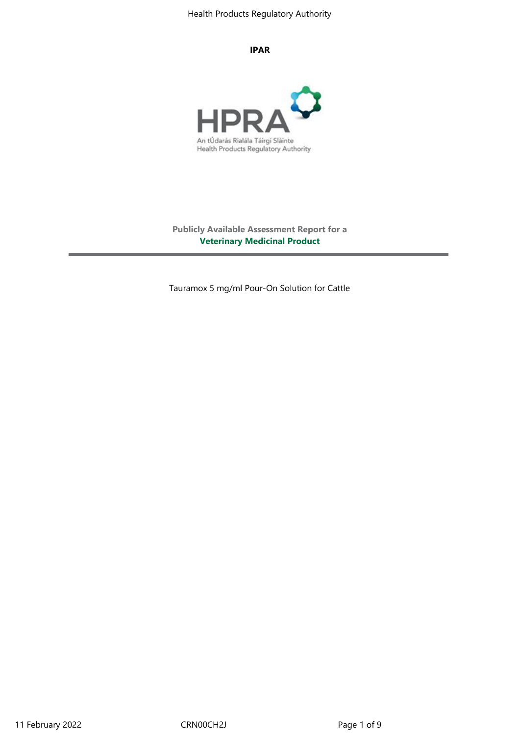#### **IPAR**



**Publicly Available Assessment Report for a Veterinary Medicinal Product**

Tauramox 5 mg/ml Pour-On Solution for Cattle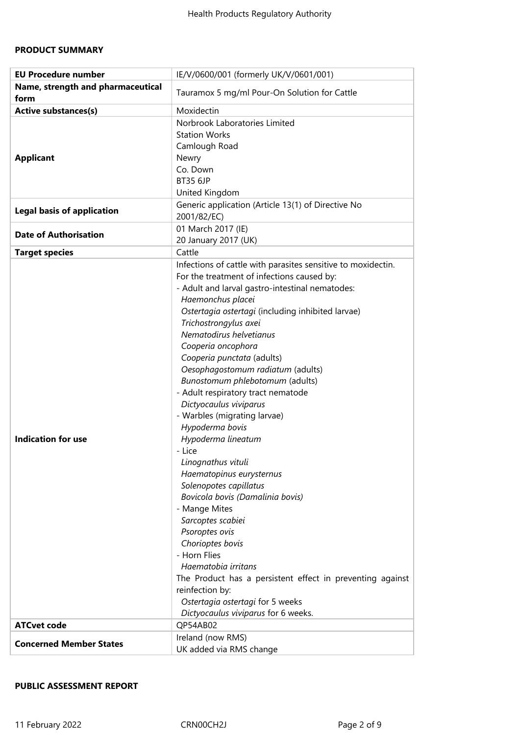# **PRODUCT SUMMARY**

| <b>EU Procedure number</b>                | IE/V/0600/001 (formerly UK/V/0601/001)                                                                                                                                                                                                                                                                                                                                                                                                                                                                                                                                                                                                                                                                                                                                                                                                                                                                                                                                   |  |
|-------------------------------------------|--------------------------------------------------------------------------------------------------------------------------------------------------------------------------------------------------------------------------------------------------------------------------------------------------------------------------------------------------------------------------------------------------------------------------------------------------------------------------------------------------------------------------------------------------------------------------------------------------------------------------------------------------------------------------------------------------------------------------------------------------------------------------------------------------------------------------------------------------------------------------------------------------------------------------------------------------------------------------|--|
| Name, strength and pharmaceutical<br>form | Tauramox 5 mg/ml Pour-On Solution for Cattle                                                                                                                                                                                                                                                                                                                                                                                                                                                                                                                                                                                                                                                                                                                                                                                                                                                                                                                             |  |
| <b>Active substances(s)</b>               | Moxidectin                                                                                                                                                                                                                                                                                                                                                                                                                                                                                                                                                                                                                                                                                                                                                                                                                                                                                                                                                               |  |
| <b>Applicant</b>                          | Norbrook Laboratories Limited<br><b>Station Works</b><br>Camlough Road<br>Newry<br>Co. Down<br><b>BT35 6JP</b><br>United Kingdom                                                                                                                                                                                                                                                                                                                                                                                                                                                                                                                                                                                                                                                                                                                                                                                                                                         |  |
| <b>Legal basis of application</b>         | Generic application (Article 13(1) of Directive No<br>2001/82/EC)                                                                                                                                                                                                                                                                                                                                                                                                                                                                                                                                                                                                                                                                                                                                                                                                                                                                                                        |  |
| <b>Date of Authorisation</b>              | 01 March 2017 (IE)<br>20 January 2017 (UK)                                                                                                                                                                                                                                                                                                                                                                                                                                                                                                                                                                                                                                                                                                                                                                                                                                                                                                                               |  |
| <b>Target species</b>                     | Cattle                                                                                                                                                                                                                                                                                                                                                                                                                                                                                                                                                                                                                                                                                                                                                                                                                                                                                                                                                                   |  |
| <b>Indication for use</b>                 | Infections of cattle with parasites sensitive to moxidectin.<br>For the treatment of infections caused by:<br>- Adult and larval gastro-intestinal nematodes:<br>Haemonchus placei<br>Ostertagia ostertagi (including inhibited larvae)<br>Trichostrongylus axei<br>Nematodirus helvetianus<br>Cooperia oncophora<br>Cooperia punctata (adults)<br>Oesophagostomum radiatum (adults)<br>Bunostomum phlebotomum (adults)<br>- Adult respiratory tract nematode<br>Dictyocaulus viviparus<br>- Warbles (migrating larvae)<br>Hypoderma bovis<br>Hypoderma lineatum<br>- Lice<br>Linognathus vituli<br>Haematopinus eurysternus<br>Solenopotes capillatus<br>Bovicola bovis (Damalinia bovis)<br>- Mange Mites<br>Sarcoptes scabiei<br>Psoroptes ovis<br>Chorioptes bovis<br>- Horn Flies<br>Haematobia irritans<br>The Product has a persistent effect in preventing against<br>reinfection by:<br>Ostertagia ostertagi for 5 weeks<br>Dictyocaulus viviparus for 6 weeks. |  |
| <b>ATCvet code</b>                        | QP54AB02                                                                                                                                                                                                                                                                                                                                                                                                                                                                                                                                                                                                                                                                                                                                                                                                                                                                                                                                                                 |  |
|                                           | Ireland (now RMS)                                                                                                                                                                                                                                                                                                                                                                                                                                                                                                                                                                                                                                                                                                                                                                                                                                                                                                                                                        |  |
| <b>Concerned Member States</b>            | UK added via RMS change                                                                                                                                                                                                                                                                                                                                                                                                                                                                                                                                                                                                                                                                                                                                                                                                                                                                                                                                                  |  |

# **PUBLIC ASSESSMENT REPORT**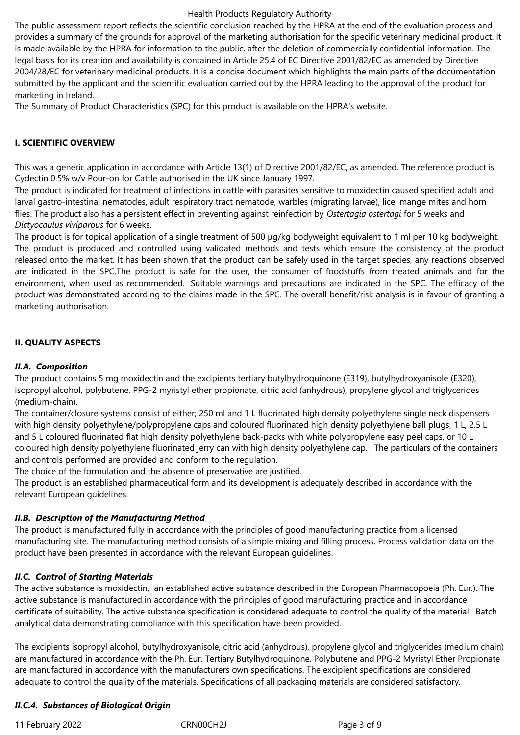The public assessment report reflects the scientific conclusion reached by the HPRA at the end of the evaluation process and provides a summary of the grounds for approval of the marketing authorisation for the specific veterinary medicinal product. It is made available by the HPRA for information to the public, after the deletion of commercially confidential information. The legal basis for its creation and availability is contained in Article 25.4 of EC Directive 2001/82/EC as amended by Directive 2004/28/EC for veterinary medicinal products. It is a concise document which highlights the main parts of the documentation submitted by the applicant and the scientific evaluation carried out by the HPRA leading to the approval of the product for marketing in Ireland.

The Summary of Product Characteristics (SPC) for this product is available on the HPRA's website.

## **I. SCIENTIFIC OVERVIEW**

This was a generic application in accordance with Article 13(1) of Directive 2001/82/EC, as amended. The reference product is Cydectin 0.5% w/v Pour-on for Cattle authorised in the UK since January 1997.

The product is indicated for treatment of infections in cattle with parasites sensitive to moxidectin caused specified adult and larval gastro-intestinal nematodes, adult respiratory tract nematode, warbles (migrating larvae), lice, mange mites and horn flies. The product also has a persistent effect in preventing against reinfection by *Ostertagia ostertagi* for 5 weeks and *Dictyocaulus viviparous* for 6 weeks.

The product is for topical application of a single treatment of 500 μg/kg bodyweight equivalent to 1 ml per 10 kg bodyweight. The product is produced and controlled using validated methods and tests which ensure the consistency of the product released onto the market. It has been shown that the product can be safely used in the target species, any reactions observed are indicated in the SPC.The product is safe for the user, the consumer of foodstuffs from treated animals and for the environment, when used as recommended. Suitable warnings and precautions are indicated in the SPC. The efficacy of the product was demonstrated according to the claims made in the SPC. The overall benefit/risk analysis is in favour of granting a marketing authorisation.

## **II. QUALITY ASPECTS**

## *II.A. Composition*

The product contains 5 mg moxidectin and the excipients tertiary butylhydroquinone (E319), butylhydroxyanisole (E320), isopropyl alcohol, polybutene, PPG-2 myristyl ether propionate, citric acid (anhydrous), propylene glycol and triglycerides (medium-chain).

The container/closure systems consist of either; 250 ml and 1 L fluorinated high density polyethylene single neck dispensers with high density polyethylene/polypropylene caps and coloured fluorinated high density polyethylene ball plugs, 1 L, 2.5 L and 5 L coloured fluorinated flat high density polyethylene back-packs with white polypropylene easy peel caps, or 10 L coloured high density polyethylene fluorinated jerry can with high density polyethylene cap. . The particulars of the containers and controls performed are provided and conform to the regulation.

The choice of the formulation and the absence of preservative are justified.

The product is an established pharmaceutical form and its development is adequately described in accordance with the relevant European guidelines.

# *II.B. Description of the Manufacturing Method*

The product is manufactured fully in accordance with the principles of good manufacturing practice from a licensed manufacturing site*.* The manufacturing method consists of a simple mixing and filling process. Process validation data on the product have been presented in accordance with the relevant European guidelines*.* 

#### *II.C. Control of Starting Materials*

The active substance is moxidectin, an established active substance described in the European Pharmacopoeia (Ph. Eur.). The active substance is manufactured in accordance with the principles of good manufacturing practice and in accordance certificate of suitability. The active substance specification is considered adequate to control the quality of the material. Batch analytical data demonstrating compliance with this specification have been provided.

The excipients isopropyl alcohol, butylhydroxyanisole, citric acid (anhydrous), propylene glycol and triglycerides (medium chain) are manufactured in accordance with the Ph. Eur. Tertiary Butylhydroquinone, Polybutene and PPG-2 Myristyl Ether Propionate are manufactured in accordance with the manufacturers own specifications. The excipient specifications are considered adequate to control the quality of the materials. Specifications of all packaging materials are considered satisfactory.

# *II.C.4. Substances of Biological Origin*

11 February 2022 CRN00CH2J Page 3 of 9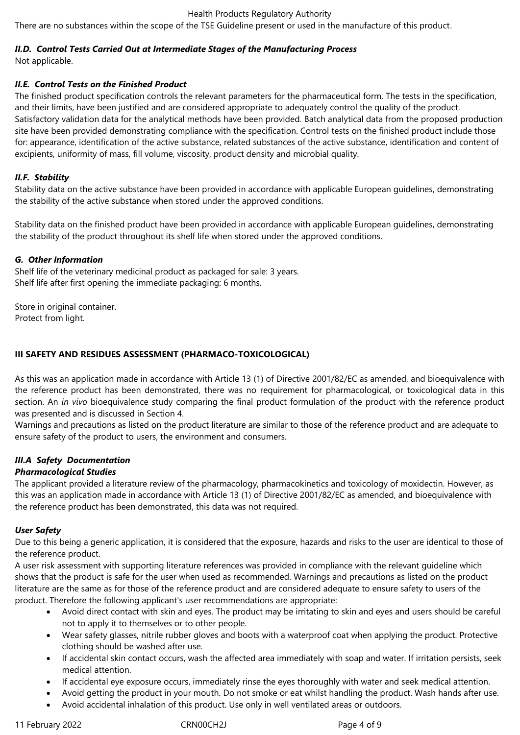There are no substances within the scope of the TSE Guideline present or used in the manufacture of this product*.*

# *II.D. Control Tests Carried Out at Intermediate Stages of the Manufacturing Process*

Not applicable.

# *II.E. Control Tests on the Finished Product*

The finished product specification controls the relevant parameters for the pharmaceutical form. The tests in the specification, and their limits, have been justified and are considered appropriate to adequately control the quality of the product. Satisfactory validation data for the analytical methods have been provided. Batch analytical data from the proposed production site have been provided demonstrating compliance with the specification. Control tests on the finished product include those for: appearance, identification of the active substance, related substances of the active substance, identification and content of excipients, uniformity of mass, fill volume, viscosity, product density and microbial quality.

# *II.F. Stability*

Stability data on the active substance have been provided in accordance with applicable European guidelines, demonstrating the stability of the active substance when stored under the approved conditions.

Stability data on the finished product have been provided in accordance with applicable European guidelines, demonstrating the stability of the product throughout its shelf life when stored under the approved conditions.

# *G. Other Information*

Shelf life of the veterinary medicinal product as packaged for sale: 3 years. Shelf life after first opening the immediate packaging: 6 months.

Store in original container. Protect from light.

# **III SAFETY AND RESIDUES ASSESSMENT (PHARMACO-TOXICOLOGICAL)**

As this was an application made in accordance with Article 13 (1) of Directive 2001/82/EC as amended, and bioequivalence with the reference product has been demonstrated, there was no requirement for pharmacological, or toxicological data in this section. An *in vivo* bioequivalence study comparing the final product formulation of the product with the reference product was presented and is discussed in Section 4.

Warnings and precautions as listed on the product literature are similar to those of the reference product and are adequate to ensure safety of the product to users, the environment and consumers.

# *III.A Safety Documentation*

# *Pharmacological Studies*

The applicant provided a literature review of the pharmacology, pharmacokinetics and toxicology of moxidectin. However, as this was an application made in accordance with Article 13 (1) of Directive 2001/82/EC as amended, and bioequivalence with the reference product has been demonstrated, this data was not required.

# *User Safety*

Due to this being a generic application, it is considered that the exposure, hazards and risks to the user are identical to those of the reference product.

A user risk assessment with supporting literature references was provided in compliance with the relevant guideline which shows that the product is safe for the user when used as recommended. Warnings and precautions as listed on the product literature are the same as for those of the reference product and are considered adequate to ensure safety to users of the product. Therefore the following applicant's user recommendations are appropriate:

- Avoid direct contact with skin and eyes. The product may be irritating to skin and eyes and users should be careful not to apply it to themselves or to other people.
- Wear safety glasses, nitrile rubber gloves and boots with a waterproof coat when applying the product. Protective clothing should be washed after use.
- If accidental skin contact occurs, wash the affected area immediately with soap and water. If irritation persists, seek medical attention.
- If accidental eye exposure occurs, immediately rinse the eyes thoroughly with water and seek medical attention.
- Avoid getting the product in your mouth. Do not smoke or eat whilst handling the product. Wash hands after use.
- Avoid accidental inhalation of this product. Use only in well ventilated areas or outdoors.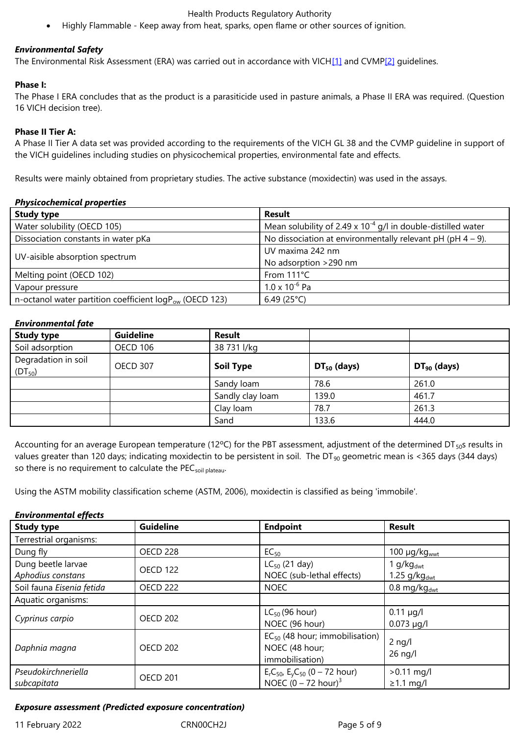#### *Environmental Safety*

The Environmental Risk Assessment (ERA) was carried out in accordance with VICH[1] and CVMP[2] guidelines.

#### **Phase I:**

The Phase I ERA concludes that as the product is a parasiticide used in pasture an[ima](file:///C:/Users/flanagang/Documents/Tauramox%205%20mgml%20Pour-On%20Solution%20for%20Cattle%20%20-%20Latest%20PuAR.DOC#_ftn1)ls, a Phase [II](file:///C:/Users/flanagang/Documents/Tauramox%205%20mgml%20Pour-On%20Solution%20for%20Cattle%20%20-%20Latest%20PuAR.DOC#_ftn2) ERA was required. (Question 16 VICH decision tree).

## **Phase II Tier A:**

A Phase II Tier A data set was provided according to the requirements of the VICH GL 38 and the CVMP guideline in support of the VICH guidelines including studies on physicochemical properties, environmental fate and effects.

Results were mainly obtained from proprietary studies. The active substance (moxidectin) was used in the assays.

#### *Physicochemical properties*

| <b>Study type</b>                                            | Result                                                            |
|--------------------------------------------------------------|-------------------------------------------------------------------|
| Water solubility (OECD 105)                                  | Mean solubility of 2.49 x $10^{-4}$ g/l in double-distilled water |
| Dissociation constants in water pKa                          | No dissociation at environmentally relevant pH (pH $4 - 9$ ).     |
|                                                              | UV maxima 242 nm                                                  |
| UV-aisible absorption spectrum                               | No adsorption >290 nm                                             |
| Melting point (OECD 102)                                     | From 111°C                                                        |
| Vapour pressure                                              | $1.0 \times 10^{-6}$ Pa                                           |
| n-octanol water partition coefficient $logP_{ow}$ (OECD 123) | 6.49 (25 $^{\circ}$ C)                                            |

#### *Environmental fate*

| <b>Study type</b>                  | <b>Guideline</b> | <b>Result</b>    |                  |                  |  |
|------------------------------------|------------------|------------------|------------------|------------------|--|
| Soil adsorption                    | <b>OECD 106</b>  | 38 731 l/kg      |                  |                  |  |
| Degradation in soil<br>$(DT_{50})$ | <b>OECD 307</b>  | <b>Soil Type</b> | $DT_{50}$ (days) | $DT_{90}$ (days) |  |
|                                    |                  | Sandy loam       | 78.6             | 261.0            |  |
|                                    |                  | Sandly clay loam | 139.0            | 461.7            |  |
|                                    |                  | Clay Ioam        | 78.7             | 261.3            |  |
|                                    |                  | Sand             | 133.6            | 444.0            |  |

Accounting for an average European temperature (12°C) for the PBT assessment, adjustment of the determined DT $_{50}$ s results in values greater than 120 days; indicating moxidectin to be persistent in soil. The DT<sub>90</sub> geometric mean is <365 days (344 days) so there is no requirement to calculate the PEC<sub>soil plateau</sub>.

Using the ASTM mobility classification scheme (ASTM, 2006), moxidectin is classified as being 'immobile'.

#### *Environmental effects*

| <b>Study type</b>                  | <b>Guideline</b> | <b>Endpoint</b>                                                          | <b>Result</b>                   |
|------------------------------------|------------------|--------------------------------------------------------------------------|---------------------------------|
| Terrestrial organisms:             |                  |                                                                          |                                 |
| Dung fly                           | OECD 228         | $EC_{50}$                                                                | 100 $\mu$ g/kg $_{\text{wwt}}$  |
| Dung beetle larvae                 | <b>OECD 122</b>  | $LC_{50}$ (21 day)                                                       | 1 g/kg $_{\text{dwt}}$          |
| Aphodius constans                  |                  | NOEC (sub-lethal effects)                                                | 1.25 $g/kg_{dwt}$               |
| Soil fauna Eisenia fetida          | <b>OECD 222</b>  | <b>NOEC</b>                                                              | $0.8$ mg/kg <sub>dwt</sub>      |
| Aquatic organisms:                 |                  |                                                                          |                                 |
| <b>OECD 202</b><br>Cyprinus carpio |                  | $LC_{50}$ (96 hour)                                                      | $0.11 \mu g/l$                  |
|                                    |                  | NOEC (96 hour)                                                           | $0.073 \mu q/l$                 |
| Daphnia magna                      | <b>OECD 202</b>  | $EC_{50}$ (48 hour; immobilisation)<br>NOEC (48 hour;<br>immobilisation) | $2$ ng/l<br>$26$ ng/l           |
| Pseudokirchneriella<br>subcapitata | <b>OECD 201</b>  | $ErC50$ , $EyC50$ (0 – 72 hour)<br>NOEC $(0 - 72$ hour) <sup>3</sup>     | $>0.11$ mg/l<br>$\geq$ 1.1 mg/l |
|                                    |                  |                                                                          |                                 |

#### *Exposure assessment (Predicted exposure concentration)*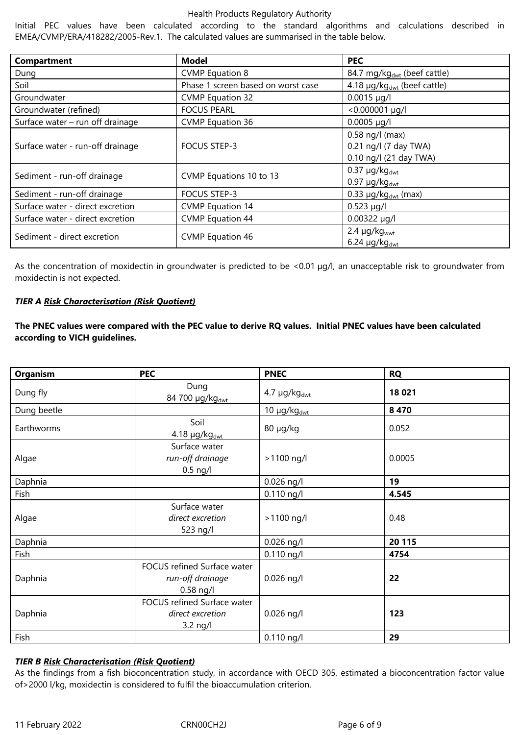Initial PEC values have been calculated according to the standard algorithms and calculations described in EMEA/CVMP/ERA/418282/2005-Rev.1. The calculated values are summarised in the table below.

| Compartment                      | <b>Model</b>                       | <b>PEC</b>                              |
|----------------------------------|------------------------------------|-----------------------------------------|
| Dung                             | <b>CVMP</b> Equation 8             | 84.7 mg/kg <sub>dwt</sub> (beef cattle) |
| Soil                             | Phase 1 screen based on worst case | 4.18 µg/kg <sub>dwt</sub> (beef cattle) |
| Groundwater                      | <b>CVMP Equation 32</b>            | $0.0015 \mu g/l$                        |
| Groundwater (refined)            | <b>FOCUS PEARL</b>                 | <0.000001 µg/l                          |
| Surface water – run off drainage | <b>CVMP Equation 36</b>            | $0.0005 \mu g/l$                        |
|                                  |                                    | $0.58$ ng/l (max)                       |
| Surface water - run-off drainage | <b>FOCUS STEP-3</b>                | 0.21 ng/l (7 day TWA)                   |
|                                  |                                    | 0.10 ng/l (21 day TWA)                  |
| Sediment - run-off drainage      | CVMP Equations 10 to 13            | $0.37 \mu g/kg_{dwt}$                   |
|                                  |                                    | $0.97 \mu g/kg_{dwt}$                   |
| Sediment - run-off drainage      | <b>FOCUS STEP-3</b>                | 0.33 $\mu$ g/kg <sub>dwt</sub> (max)    |
| Surface water - direct excretion | <b>CVMP Equation 14</b>            | $0.523 \mu g/l$                         |
| Surface water - direct excretion | <b>CVMP Equation 44</b>            | $0.00322 \mu g/l$                       |
| Sediment - direct excretion      |                                    | $2.4 \mu g/kgwwt$                       |
|                                  | <b>CVMP Equation 46</b>            | $6.24 \mu g/kg_{dwt}$                   |

As the concentration of moxidectin in groundwater is predicted to be <0.01 µg/l, an unacceptable risk to groundwater from moxidectin is not expected.

## *TIER A Risk Characterisation (Risk Quotient)*

**The PNEC values were compared with the PEC value to derive RQ values. Initial PNEC values have been calculated according to VICH guidelines.**

| <b>Organism</b> | <b>PEC</b>                                                     | <b>PNEC</b>             | <b>RQ</b> |
|-----------------|----------------------------------------------------------------|-------------------------|-----------|
| Dung fly        | Dung<br>84 700 μg/kgdwt                                        | $4.7 \mu g/kg_{dwt}$    | 18 021    |
| Dung beetle     |                                                                | 10 μg/kg <sub>dwt</sub> | 8 4 7 0   |
| Earthworms      | Soil<br>$4.18 \mu g/kg_{dwt}$                                  | 80 µg/kg                | 0.052     |
| Algae           | Surface water<br>run-off drainage<br>$0.5$ ng/l                | >1100 ng/l              | 0.0005    |
| Daphnia         |                                                                | $0.026$ ng/l            | 19        |
| Fish            |                                                                | $0.110$ ng/l            | 4.545     |
| Algae           | Surface water<br>direct excretion<br>523 ng/l                  | >1100 ng/l              | 0.48      |
| Daphnia         |                                                                | $0.026$ ng/l            | 20 115    |
| Fish            |                                                                | $0.110$ ng/l            | 4754      |
| Daphnia         | FOCUS refined Surface water<br>run-off drainage<br>$0.58$ ng/l | $0.026$ ng/l            | 22        |
| Daphnia         | FOCUS refined Surface water<br>direct excretion<br>$3.2$ ng/l  | $0.026$ ng/l            | 123       |
| Fish            |                                                                | 0.110 ng/l              | 29        |

# *TIER B Risk Characterisation (Risk Quotient)*

As the findings from a fish bioconcentration study, in accordance with OECD 305, estimated a bioconcentration factor value of>2000 l/kg, moxidectin is considered to fulfil the bioaccumulation criterion.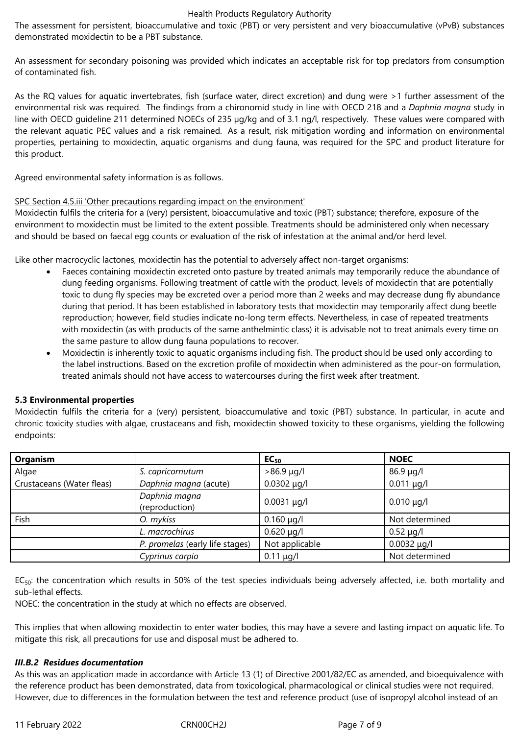The assessment for persistent, bioaccumulative and toxic (PBT) or very persistent and very bioaccumulative (vPvB) substances demonstrated moxidectin to be a PBT substance.

An assessment for secondary poisoning was provided which indicates an acceptable risk for top predators from consumption of contaminated fish.

As the RQ values for aquatic invertebrates, fish (surface water, direct excretion) and dung were >1 further assessment of the environmental risk was required. The findings from a chironomid study in line with OECD 218 and a *Daphnia magna* study in line with OECD guideline 211 determined NOECs of 235 µg/kg and of 3.1 ng/l, respectively. These values were compared with the relevant aquatic PEC values and a risk remained. As a result, risk mitigation wording and information on environmental properties, pertaining to moxidectin, aquatic organisms and dung fauna, was required for the SPC and product literature for this product.

Agreed environmental safety information is as follows.

## SPC Section 4.5.iii 'Other precautions regarding impact on the environment'

Moxidectin fulfils the criteria for a (very) persistent, bioaccumulative and toxic (PBT) substance; therefore, exposure of the environment to moxidectin must be limited to the extent possible. Treatments should be administered only when necessary and should be based on faecal egg counts or evaluation of the risk of infestation at the animal and/or herd level.

Like other macrocyclic lactones, moxidectin has the potential to adversely affect non-target organisms:

- Faeces containing moxidectin excreted onto pasture by treated animals may temporarily reduce the abundance of dung feeding organisms. Following treatment of cattle with the product, levels of moxidectin that are potentially toxic to dung fly species may be excreted over a period more than 2 weeks and may decrease dung fly abundance during that period. It has been established in laboratory tests that moxidectin may temporarily affect dung beetle reproduction; however, field studies indicate no-long term effects. Nevertheless, in case of repeated treatments with moxidectin (as with products of the same anthelmintic class) it is advisable not to treat animals every time on the same pasture to allow dung fauna populations to recover.
- Moxidectin is inherently toxic to aquatic organisms including fish. The product should be used only according to the label instructions. Based on the excretion profile of moxidectin when administered as the pour-on formulation, treated animals should not have access to watercourses during the first week after treatment.

# **5.3 Environmental properties**

Moxidectin fulfils the criteria for a (very) persistent, bioaccumulative and toxic (PBT) substance. In particular, in acute and chronic toxicity studies with algae, crustaceans and fish, moxidectin showed toxicity to these organisms, yielding the following endpoints:

| <b>Organism</b>           |                                 | $EC_{50}$        | <b>NOEC</b>      |
|---------------------------|---------------------------------|------------------|------------------|
| Algae                     | S. capricornutum                | $>86.9 \mu q/l$  | $86.9 \mu g/l$   |
| Crustaceans (Water fleas) | Daphnia magna (acute)           | $0.0302 \mu g/l$ | $0.011 \mu g/l$  |
|                           | Daphnia magna<br>(reproduction) | $0.0031 \mu q/l$ | $0.010 \mu g/l$  |
| Fish                      | O. mykiss                       | $0.160 \mu q/l$  | Not determined   |
|                           | L. macrochirus                  | $0.620 \mu q/l$  | $0.52 \mu g/l$   |
|                           | P. promelas (early life stages) | Not applicable   | $0.0032 \mu q/l$ |
|                           | Cyprinus carpio                 | $0.11 \mu g/l$   | Not determined   |

 $EC<sub>50</sub>$ : the concentration which results in 50% of the test species individuals being adversely affected, i.e. both mortality and sub-lethal effects.

NOEC: the concentration in the study at which no effects are observed.

This implies that when allowing moxidectin to enter water bodies, this may have a severe and lasting impact on aquatic life. To mitigate this risk, all precautions for use and disposal must be adhered to.

# *III.B.2 Residues documentation*

As this was an application made in accordance with Article 13 (1) of Directive 2001/82/EC as amended, and bioequivalence with the reference product has been demonstrated, data from toxicological, pharmacological or clinical studies were not required. However, due to differences in the formulation between the test and reference product (use of isopropyl alcohol instead of an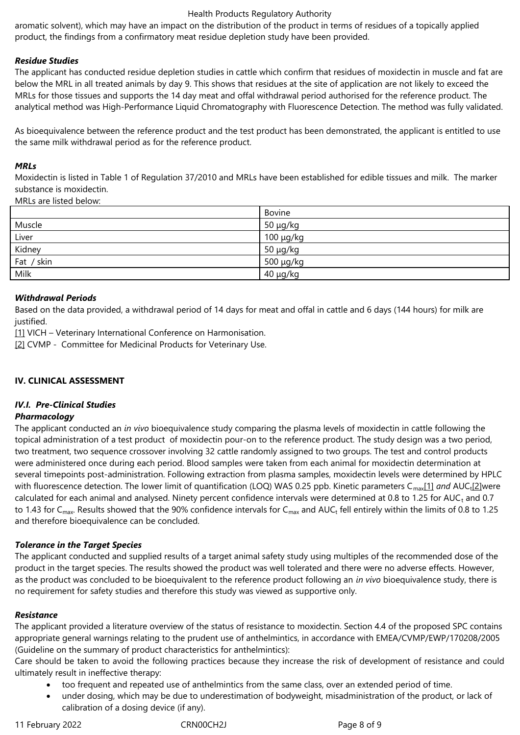aromatic solvent), which may have an impact on the distribution of the product in terms of residues of a topically applied product, the findings from a confirmatory meat residue depletion study have been provided.

## *Residue Studies*

The applicant has conducted residue depletion studies in cattle which confirm that residues of moxidectin in muscle and fat are below the MRL in all treated animals by day 9. This shows that residues at the site of application are not likely to exceed the MRLs for those tissues and supports the 14 day meat and offal withdrawal period authorised for the reference product. The analytical method was High-Performance Liquid Chromatography with Fluorescence Detection. The method was fully validated.

As bioequivalence between the reference product and the test product has been demonstrated, the applicant is entitled to use the same milk withdrawal period as for the reference product.

#### *MRLs*

Moxidectin is listed in Table 1 of Regulation 37/2010 and MRLs have been established for edible tissues and milk. The marker substance is moxidectin.

MRLs are listed below:

|            | Bovine         |
|------------|----------------|
| Muscle     | $50 \mu g/kg$  |
| Liver      | $100 \mu g/kg$ |
| Kidney     | 50 μg/kg       |
| Fat / skin | 500 μg/kg      |
| Milk       | $40 \mu g/kg$  |

## *Withdrawal Periods*

Based on the data provided, a withdrawal period of 14 days for meat and offal in cattle and 6 days (144 hours) for milk are justified.

[1] VICH – Veterinary International Conference on Harmonisation.

[2] CVMP - Committee for Medicinal Products for Veterinary Use.

#### **IV. CLINICAL ASSESSMENT**

# *IV.I. Pre-Clinical Studies*

#### *Pharmacology*

The applicant conducted an *in vivo* bioequivalence study comparing the plasma levels of moxidectin in cattle following the topical administration of a test product of moxidectin pour-on to the reference product. The study design was a two period, two treatment, two sequence crossover involving 32 cattle randomly assigned to two groups. The test and control products were administered once during each period. Blood samples were taken from each animal for moxidectin determination at several timepoints post-administration. Following extraction from plasma samples, moxidectin levels were determined by HPLC with fluorescence detection. The lower limit of quantification (LOQ) WAS 0.25 ppb. Kinetic parameters C<sub>max</sub>[1] and AUC<sub>t</sub>[2]were calculated for each animal and analysed. Ninety percent confidence intervals were determined at 0.8 to 1.25 for AUC<sub>t</sub> and 0.7 to 1.43 for C<sub>max</sub>. Results showed that the 90% confidence intervals for C<sub>max</sub> and AUC<sub>t</sub> fell entirely within the limits of 0.8 to 1.25 and therefore bioequivalence can be concluded.

# *Tolerance in the Target Species*

The applicant conducted and supplied results of a target animal safety study using multiples of the recommended dose of the product in the target species. The results showed the product was well tolerated and there were no adverse effects. However, as the product was concluded to be bioequivalent to the reference product following an *in vivo* bioequivalence study, there is no requirement for safety studies and therefore this study was viewed as supportive only.

#### *Resistance*

The applicant provided a literature overview of the status of resistance to moxidectin. Section 4.4 of the proposed SPC contains appropriate general warnings relating to the prudent use of anthelmintics, in accordance with EMEA/CVMP/EWP/170208/2005 (Guideline on the summary of product characteristics for anthelmintics):

Care should be taken to avoid the following practices because they increase the risk of development of resistance and could ultimately result in ineffective therapy:

- too frequent and repeated use of anthelmintics from the same class, over an extended period of time.
- under dosing, which may be due to underestimation of bodyweight, misadministration of the product, or lack of calibration of a dosing device (if any).